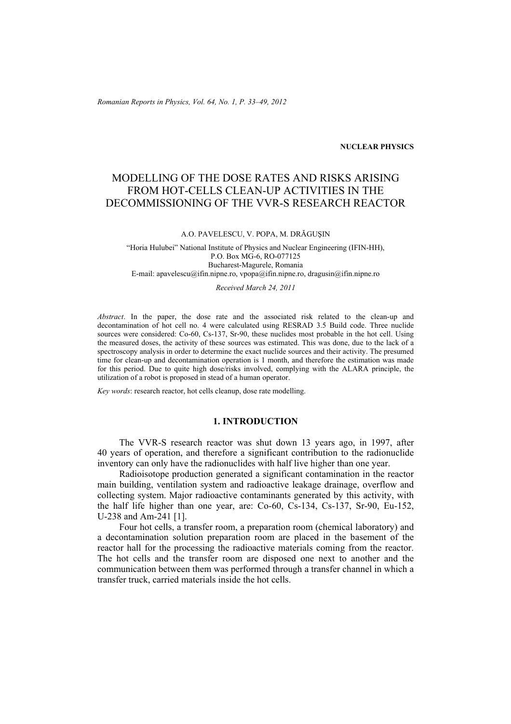*Romanian Reports in Physics, Vol. 64, No. 1, P. 33–49, 2012*

### **NUCLEAR PHYSICS**

# MODELLING OF THE DOSE RATES AND RISKS ARISING FROM HOT-CELLS CLEAN-UP ACTIVITIES IN THE DECOMMISSIONING OF THE VVR-S RESEARCH REACTOR

#### A.O. PAVELESCU, V. POPA, M. DRĂGUŞIN

"Horia Hulubei" National Institute of Physics and Nuclear Engineering (IFIN-HH), P.O. Box MG-6, RO-077125 Bucharest-Magurele, Romania E-mail: apavelescu@ifin.nipne.ro, vpopa@ifin.nipne.ro, dragusin@ifin.nipne.ro

#### *Received March 24, 2011*

*Abstract*. In the paper, the dose rate and the associated risk related to the clean-up and decontamination of hot cell no. 4 were calculated using RESRAD 3.5 Build code. Three nuclide sources were considered: Co-60, Cs-137, Sr-90, these nuclides most probable in the hot cell. Using the measured doses, the activity of these sources was estimated. This was done, due to the lack of a spectroscopy analysis in order to determine the exact nuclide sources and their activity. The presumed time for clean-up and decontamination operation is 1 month, and therefore the estimation was made for this period. Due to quite high dose/risks involved, complying with the ALARA principle, the utilization of a robot is proposed in stead of a human operator.

*Key words*: research reactor, hot cells cleanup, dose rate modelling.

# **1. INTRODUCTION**

The VVR-S research reactor was shut down 13 years ago, in 1997, after 40 years of operation, and therefore a significant contribution to the radionuclide inventory can only have the radionuclides with half live higher than one year.

Radioisotope production generated a significant contamination in the reactor main building, ventilation system and radioactive leakage drainage, overflow and collecting system. Major radioactive contaminants generated by this activity, with the half life higher than one year, are: Co-60, Cs-134, Cs-137, Sr-90, Eu-152, U-238 and Am-241 [1].

Four hot cells, a transfer room, a preparation room (chemical laboratory) and a decontamination solution preparation room are placed in the basement of the reactor hall for the processing the radioactive materials coming from the reactor. The hot cells and the transfer room are disposed one next to another and the communication between them was performed through a transfer channel in which a transfer truck, carried materials inside the hot cells.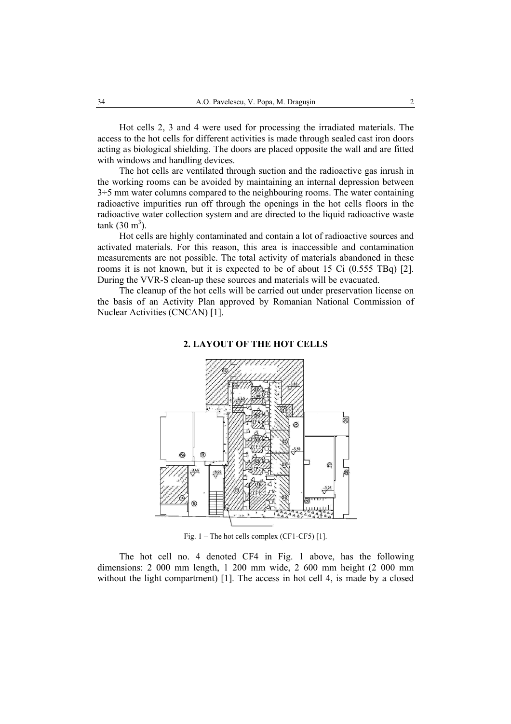Hot cells 2, 3 and 4 were used for processing the irradiated materials. The access to the hot cells for different activities is made through sealed cast iron doors acting as biological shielding. The doors are placed opposite the wall and are fitted with windows and handling devices.

The hot cells are ventilated through suction and the radioactive gas inrush in the working rooms can be avoided by maintaining an internal depression between  $3\div 5$  mm water columns compared to the neighbouring rooms. The water containing radioactive impurities run off through the openings in the hot cells floors in the radioactive water collection system and are directed to the liquid radioactive waste  $tank (30 m<sup>3</sup>)$ .

Hot cells are highly contaminated and contain a lot of radioactive sources and activated materials. For this reason, this area is inaccessible and contamination measurements are not possible. The total activity of materials abandoned in these rooms it is not known, but it is expected to be of about 15 Ci (0.555 TBq) [2]. During the VVR-S clean-up these sources and materials will be evacuated.

The cleanup of the hot cells will be carried out under preservation license on the basis of an Activity Plan approved by Romanian National Commission of Nuclear Activities (CNCAN) [1].



### **2. LAYOUT OF THE HOT CELLS**

Fig. 1 – The hot cells complex (CF1-CF5) [1].

The hot cell no. 4 denoted CF4 in Fig. 1 above, has the following dimensions: 2 000 mm length, 1 200 mm wide, 2 600 mm height (2 000 mm without the light compartment) [1]. The access in hot cell 4, is made by a closed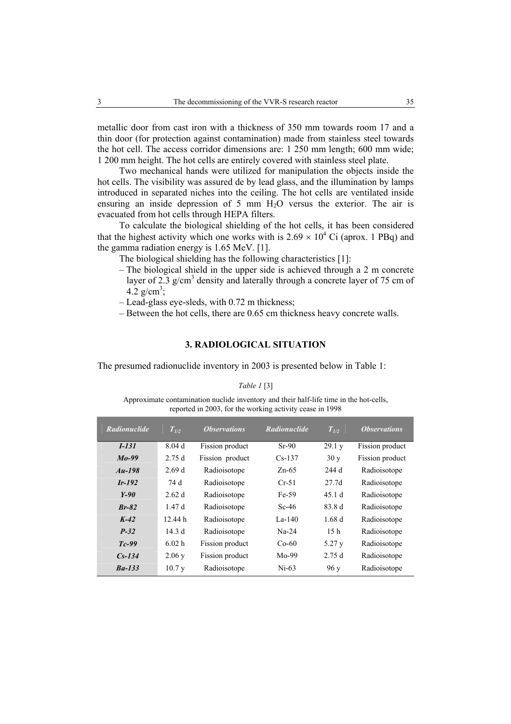metallic door from cast iron with a thickness of 350 mm towards room 17 and a thin door (for protection against contamination) made from stainless steel towards the hot cell. The access corridor dimensions are: 1 250 mm length; 600 mm wide; 1 200 mm height. The hot cells are entirely covered with stainless steel plate.

Two mechanical hands were utilized for manipulation the objects inside the hot cells. The visibility was assured de by lead glass, and the illumination by lamps introduced in separated niches into the ceiling. The hot cells are ventilated inside ensuring an inside depression of 5 mm  $H<sub>2</sub>O$  versus the exterior. The air is evacuated from hot cells through HEPA filters.

To calculate the biological shielding of the hot cells, it has been considered that the highest activity which one works with is  $2.69 \times 10^4$  Ci (aprox. 1 PBq) and the gamma radiation energy is 1.65 MeV. [1].

The biological shielding has the following characteristics [1]:

- The biological shield in the upper side is achieved through a 2 m concrete layer of 2.3  $g/cm<sup>3</sup>$  density and laterally through a concrete layer of 75 cm of  $4.2 \text{ g/cm}^3$ ;
- Lead-glass eye-sleds, with 0.72 m thickness;
- Between the hot cells, there are 0.65 cm thickness heavy concrete walls.

### **3. RADIOLOGICAL SITUATION**

The presumed radionuclide inventory in 2003 is presented below in Table 1:

#### *Table 1* [3]

Approximate contamination nuclide inventory and their half-life time in the hot-cells, reported in 2003, for the working activity cease in 1998

| <b>Radionuclide</b> | $T_{1/2}$ | <i><b>Observations</b></i> | <b>Radionuclide</b> | $T_{L2}$          | <i><b>Observations</b></i> |
|---------------------|-----------|----------------------------|---------------------|-------------------|----------------------------|
| $I-131$             | 8.04d     | Fission product            | $Sr-90$             | 29.1 y            | Fission product            |
| $Mo-99$             | 2.75d     | Fission product            | $Cs-137$            | 30y               | Fission product            |
| $Au-198$            | 2.69d     | Radioisotope               | $Zn-65$             | 244 d             | Radioisotope               |
| $Ir-192$            | 74 d      | Radioisotope               | $Cr-51$             | 27.7 <sub>d</sub> | Radioisotope               |
| $Y-90$              | 2.62d     | Radioisotope               | Fe-59               | 45.1d             | Radioisotope               |
| $Br-82$             | 1.47d     | Radioisotope               | Sc-46               | 83.8 d            | Radioisotope               |
| $K-42$              | 12.44 h   | Radioisotope               | La-140              | 1.68d             | Radioisotope               |
| $P-32$              | 14.3d     | Radioisotope               | $Na-24$             | 15 <sub>h</sub>   | Radioisotope               |
| $Tc-99$             | 6.02 h    | Fission product            | $Co-60$             | 5.27y             | Radioisotope               |
| $Cs-134$            | 2.06y     | Fission product            | $Mo-99$             | 2.75d             | Radioisotope               |
| $Ba-133$            | 10.7y     | Radioisotope               | Ni-63               | 96y               | Radioisotope               |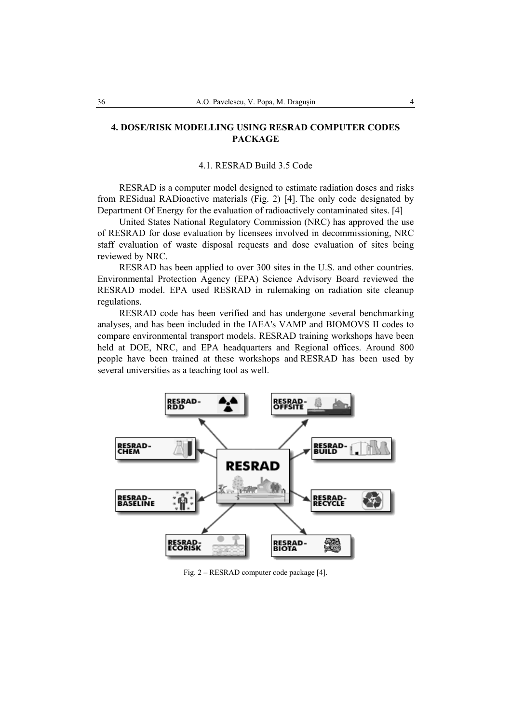# **4. DOSE/RISK MODELLING USING RESRAD COMPUTER CODES PACKAGE**

### 4.1. RESRAD Build 3.5 Code

RESRAD is a computer model designed to estimate radiation doses and risks from RESidual RADioactive materials (Fig. 2) [4]. The only code designated by Department Of Energy for the evaluation of radioactively contaminated sites. [4]

United States National Regulatory Commission (NRC) has approved the use of RESRAD for dose evaluation by licensees involved in decommissioning, NRC staff evaluation of waste disposal requests and dose evaluation of sites being reviewed by NRC.

RESRAD has been applied to over 300 sites in the U.S. and other countries. Environmental Protection Agency (EPA) Science Advisory Board reviewed the RESRAD model. EPA used RESRAD in rulemaking on radiation site cleanup regulations.

RESRAD code has been verified and has undergone several benchmarking analyses, and has been included in the IAEA's VAMP and BIOMOVS II codes to compare environmental transport models. RESRAD training workshops have been held at DOE, NRC, and EPA headquarters and Regional offices. Around 800 people have been trained at these workshops and RESRAD has been used by several universities as a teaching tool as well.



Fig. 2 – RESRAD computer code package [4].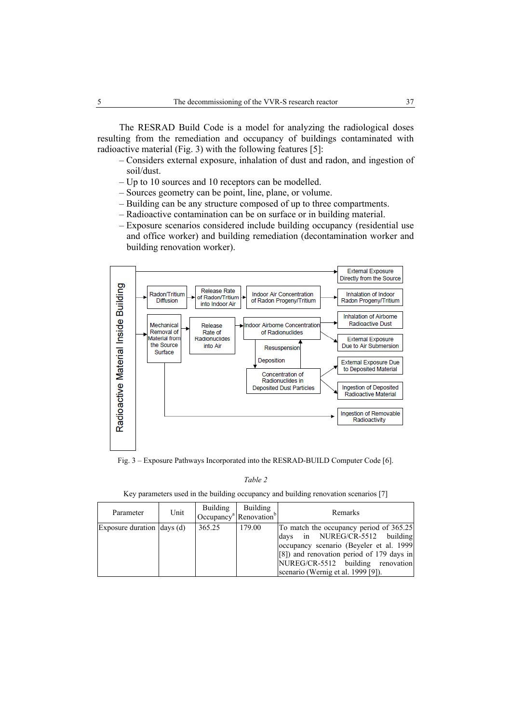The RESRAD Build Code is a model for analyzing the radiological doses resulting from the remediation and occupancy of buildings contaminated with radioactive material (Fig. 3) with the following features [5]:

- Considers external exposure, inhalation of dust and radon, and ingestion of soil/dust.
- Up to 10 sources and 10 receptors can be modelled.
- Sources geometry can be point, line, plane, or volume.
- Building can be any structure composed of up to three compartments.
- Radioactive contamination can be on surface or in building material.
- Exposure scenarios considered include building occupancy (residential use and office worker) and building remediation (decontamination worker and building renovation worker).



Fig. 3 – Exposure Pathways Incorporated into the RESRAD-BUILD Computer Code [6].

*Table 2*

Key parameters used in the building occupancy and building renovation scenarios [7]

| Parameter                          | Unit | Building | Building<br>Occupancy <sup>a</sup> Renovation <sup>b</sup> | Remarks                                                                                                                                                                                                                                          |
|------------------------------------|------|----------|------------------------------------------------------------|--------------------------------------------------------------------------------------------------------------------------------------------------------------------------------------------------------------------------------------------------|
| Exposure duration $\vert$ days (d) |      | 365.25   | 179.00                                                     | To match the occupancy period of 365.25<br>days in NUREG/CR-5512 building<br>occupancy scenario (Beyeler et al. 1999)<br>$[8]$ ) and renovation period of 179 days in<br>NUREG/CR-5512 building renovation<br>scenario (Wernig et al. 1999 [9]). |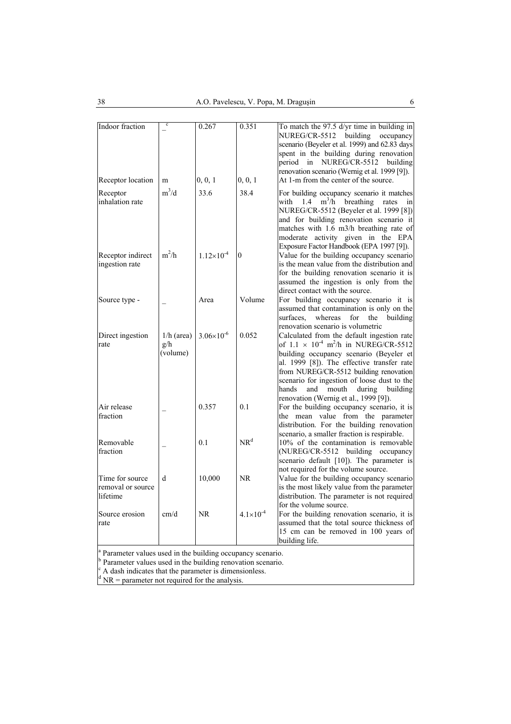| Indoor fraction                                                                                                                                                                                                                                                      | c                               | 0.267               | 0.351                | To match the 97.5 d/yr time in building in                                                                                                                                                                                                                                                                                                                                         |
|----------------------------------------------------------------------------------------------------------------------------------------------------------------------------------------------------------------------------------------------------------------------|---------------------------------|---------------------|----------------------|------------------------------------------------------------------------------------------------------------------------------------------------------------------------------------------------------------------------------------------------------------------------------------------------------------------------------------------------------------------------------------|
|                                                                                                                                                                                                                                                                      |                                 |                     |                      | building<br>NUREG/CR-5512<br>occupancy<br>scenario (Beyeler et al. 1999) and 62.83 days<br>spent in the building during renovation<br>period in NUREG/CR-5512<br>building<br>renovation scenario (Wernig et al. 1999 [9]).                                                                                                                                                         |
| Receptor location                                                                                                                                                                                                                                                    | m                               | 0, 0, 1             | 0, 0, 1              | At 1-m from the center of the source.                                                                                                                                                                                                                                                                                                                                              |
| Receptor<br>inhalation rate                                                                                                                                                                                                                                          | $m^3/d$                         | 33.6                | 38.4                 | For building occupancy scenario it matches<br>$m^3/h$<br>1.4<br>breathing<br>with<br>rates<br>ın<br>NUREG/CR-5512 (Beyeler et al. 1999 [8])<br>and for building renovation scenario it<br>matches with 1.6 m3/h breathing rate of<br>moderate activity given in the EPA                                                                                                            |
| Receptor indirect<br>ingestion rate                                                                                                                                                                                                                                  | $m^2/h$                         | $1.12\times10^{-4}$ | $\theta$             | Exposure Factor Handbook (EPA 1997 [9]).<br>Value for the building occupancy scenario<br>is the mean value from the distribution and<br>for the building renovation scenario it is<br>assumed the ingestion is only from the<br>direct contact with the source.                                                                                                                    |
| Source type -                                                                                                                                                                                                                                                        |                                 | Area                | Volume               | For building occupancy scenario it is<br>assumed that contamination is only on the<br>surfaces.<br>whereas<br>the<br>building<br>for<br>renovation scenario is volumetric                                                                                                                                                                                                          |
| Direct ingestion<br>rate                                                                                                                                                                                                                                             | $1/h$ (area)<br>g/h<br>(volume) | $3.06\times10^{-6}$ | 0.052                | Calculated from the default ingestion rate<br>of $1.1 \times 10^{-4}$ m <sup>2</sup> /h in NUREG/CR-5512<br>building occupancy scenario (Beyeler et<br>al. 1999 [8]). The effective transfer rate<br>from NUREG/CR-5512 building renovation<br>scenario for ingestion of loose dust to the<br>hands<br>and<br>mouth<br>during<br>building<br>renovation (Wernig et al., 1999 [9]). |
| Air release<br>fraction                                                                                                                                                                                                                                              |                                 | 0.357               | 0.1                  | For the building occupancy scenario, it is<br>the mean value from the parameter<br>distribution. For the building renovation<br>scenario, a smaller fraction is respirable.                                                                                                                                                                                                        |
| Removable<br>fraction                                                                                                                                                                                                                                                |                                 | 0.1                 | NR <sup>d</sup>      | 10% of the contamination is removable<br>(NUREG/CR-5512 building occupancy<br>scenario default [10]). The parameter is<br>not required for the volume source.                                                                                                                                                                                                                      |
| Time for source<br>removal or source<br>lifetime                                                                                                                                                                                                                     | d                               | 10,000              | <b>NR</b>            | Value for the building occupancy scenario<br>is the most likely value from the parameter<br>distribution. The parameter is not required<br>for the volume source.                                                                                                                                                                                                                  |
| Source erosion<br>rate                                                                                                                                                                                                                                               | cm/d                            | NR                  | $4.1 \times 10^{-4}$ | For the building renovation scenario, it is<br>assumed that the total source thickness of<br>15 cm can be removed in 100 years of<br>building life.                                                                                                                                                                                                                                |
| <sup>a</sup> Parameter values used in the building occupancy scenario.<br><sup>b</sup> Parameter values used in the building renovation scenario.<br>A dash indicates that the parameter is dimensionless.<br>$\rm{d}$ NR = parameter not required for the analysis. |                                 |                     |                      |                                                                                                                                                                                                                                                                                                                                                                                    |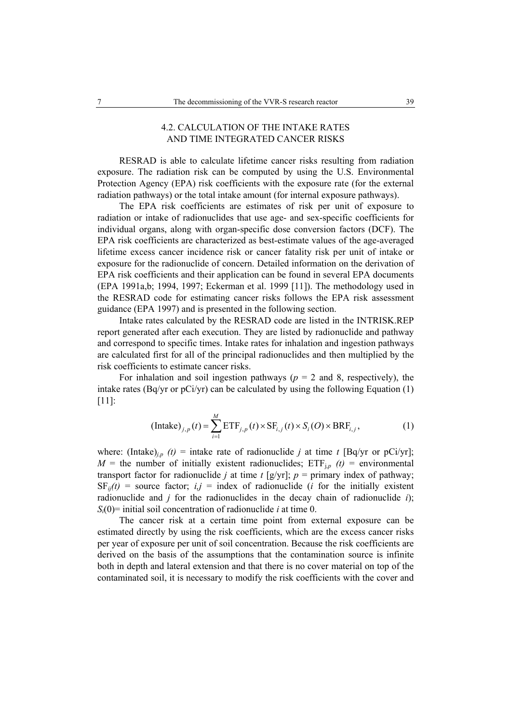# 4.2. CALCULATION OF THE INTAKE RATES AND TIME INTEGRATED CANCER RISKS

RESRAD is able to calculate lifetime cancer risks resulting from radiation exposure. The radiation risk can be computed by using the U.S. Environmental Protection Agency (EPA) risk coefficients with the exposure rate (for the external radiation pathways) or the total intake amount (for internal exposure pathways).

The EPA risk coefficients are estimates of risk per unit of exposure to radiation or intake of radionuclides that use age- and sex-specific coefficients for individual organs, along with organ-specific dose conversion factors (DCF). The EPA risk coefficients are characterized as best-estimate values of the age-averaged lifetime excess cancer incidence risk or cancer fatality risk per unit of intake or exposure for the radionuclide of concern. Detailed information on the derivation of EPA risk coefficients and their application can be found in several EPA documents (EPA 1991a,b; 1994, 1997; Eckerman et al. 1999 [11]). The methodology used in the RESRAD code for estimating cancer risks follows the EPA risk assessment guidance (EPA 1997) and is presented in the following section.

Intake rates calculated by the RESRAD code are listed in the INTRISK.REP report generated after each execution. They are listed by radionuclide and pathway and correspond to specific times. Intake rates for inhalation and ingestion pathways are calculated first for all of the principal radionuclides and then multiplied by the risk coefficients to estimate cancer risks.

For inhalation and soil ingestion pathways ( $p = 2$  and 8, respectively), the intake rates (Bq/yr or pCi/yr) can be calculated by using the following Equation (1) [11]:

$$
(\text{Intake})_{j,p}(t) = \sum_{i=1}^{M} \text{ETF}_{j,p}(t) \times \text{SF}_{i,j}(t) \times S_i(O) \times \text{BRF}_{i,j},\tag{1}
$$

where: (Intake)<sub>*i,p*</sub> (*t*) = intake rate of radionuclide *j* at time *t* [Bq/yr or pCi/yr];  $M =$  the number of initially existent radionuclides;  $ETF_{i,p}$  (t) = environmental transport factor for radionuclide *j* at time *t* [g/yr];  $p =$  primary index of pathway;  $SF_{ij}(t)$  = source factor;  $i, j$  = index of radionuclide (*i* for the initially existent radionuclide and  $j$  for the radionuclides in the decay chain of radionuclide  $i$ );  $S_i(0)$ = initial soil concentration of radionuclide *i* at time 0.

The cancer risk at a certain time point from external exposure can be estimated directly by using the risk coefficients, which are the excess cancer risks per year of exposure per unit of soil concentration. Because the risk coefficients are derived on the basis of the assumptions that the contamination source is infinite both in depth and lateral extension and that there is no cover material on top of the contaminated soil, it is necessary to modify the risk coefficients with the cover and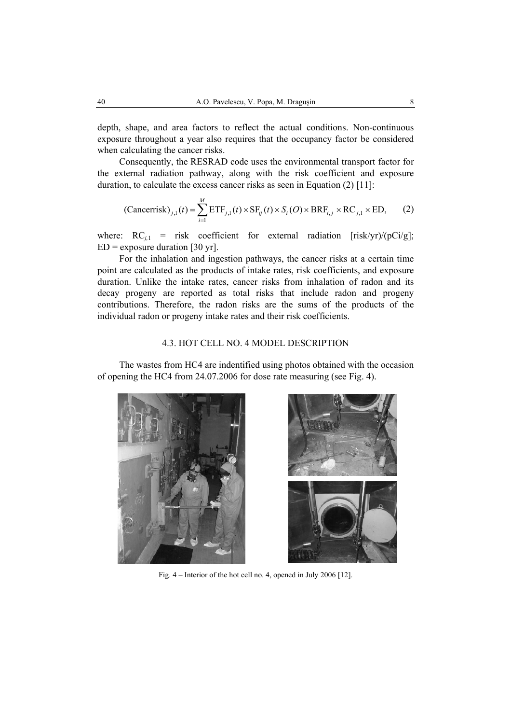depth, shape, and area factors to reflect the actual conditions. Non-continuous exposure throughout a year also requires that the occupancy factor be considered when calculating the cancer risks.

Consequently, the RESRAD code uses the environmental transport factor for the external radiation pathway, along with the risk coefficient and exposure duration, to calculate the excess cancer risks as seen in Equation (2) [11]:

(Cancerrisk)<sub>j,1</sub>
$$
(t) = \sum_{i=1}^{M} \text{ETF}_{j,1}(t) \times \text{SF}_{ij}(t) \times S_i(O) \times \text{BRF}_{i,j} \times \text{RC}_{j,1} \times \text{ED},
$$
 (2)

where:  $RC_{i,1}$  = risk coefficient for external radiation [risk/yr)/(pCi/g];  $ED =$  exposure duration [30 yr].

For the inhalation and ingestion pathways, the cancer risks at a certain time point are calculated as the products of intake rates, risk coefficients, and exposure duration. Unlike the intake rates, cancer risks from inhalation of radon and its decay progeny are reported as total risks that include radon and progeny contributions. Therefore, the radon risks are the sums of the products of the individual radon or progeny intake rates and their risk coefficients.

### 4.3. HOT CELL NO. 4 MODEL DESCRIPTION

The wastes from HC4 are indentified using photos obtained with the occasion of opening the HC4 from 24.07.2006 for dose rate measuring (see Fig. 4).





Fig. 4 – Interior of the hot cell no. 4, opened in July 2006 [12].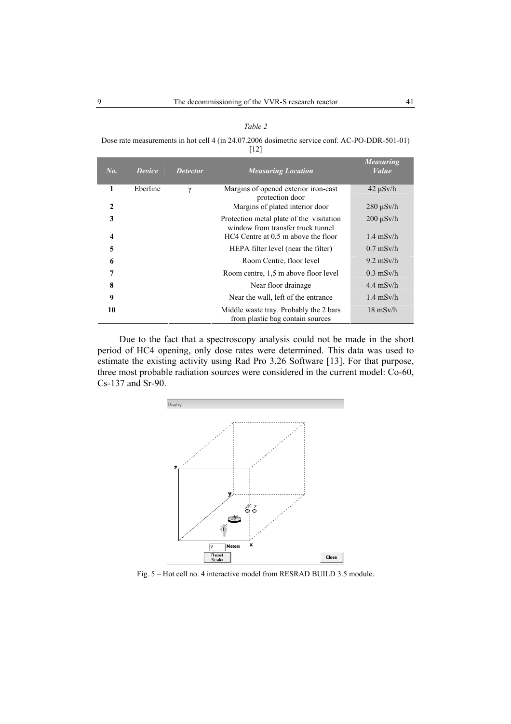|--|--|

Dose rate measurements in hot cell 4 (in 24.07.2006 dosimetric service conf. AC-PO-DDR-501-01) [12]

| No.          | Device   | <b>Detector</b> | <b>Measuring Location</b>                                                     | <b>Measuring</b><br>Value |
|--------------|----------|-----------------|-------------------------------------------------------------------------------|---------------------------|
| 1            | Eberline | $\gamma$        | Margins of opened exterior iron-cast<br>protection door                       | $42 \mu Sv/h$             |
| $\mathbf{2}$ |          |                 | Margins of plated interior door                                               | $280 \mu Sv/h$            |
| 3            |          |                 | Protection metal plate of the visitation<br>window from transfer truck tunnel | $200 \mu Sv/h$            |
| 4            |          |                 | HC4 Centre at 0.5 m above the floor                                           | $1.4$ mSv/h               |
| 5            |          |                 | HEPA filter level (near the filter)                                           | $0.7$ mSv/h               |
| 6            |          |                 | Room Centre, floor level                                                      | $9.2$ mSv/h               |
| 7            |          |                 | Room centre, 1,5 m above floor level                                          | $0.3$ mSv/h               |
| 8            |          |                 | Near floor drainage.                                                          | $4.4$ mSv/h               |
| 9            |          |                 | Near the wall, left of the entrance                                           | $1.4$ mSv/h               |
| 10           |          |                 | Middle waste tray. Probably the 2 bars<br>from plastic bag contain sources    | $18 \text{ mSv/h}$        |

Due to the fact that a spectroscopy analysis could not be made in the short period of HC4 opening, only dose rates were determined. This data was used to estimate the existing activity using Rad Pro 3.26 Software [13]. For that purpose, three most probable radiation sources were considered in the current model: Co-60, Cs-137 and Sr-90.



Fig. 5 – Hot cell no. 4 interactive model from RESRAD BUILD 3.5 module.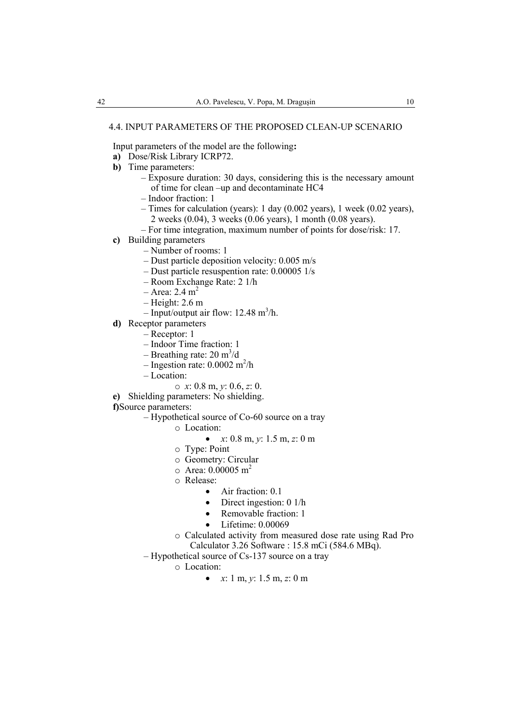Input parameters of the model are the following**:** 

- **a)** Dose/Risk Library ICRP72.
- **b)** Time parameters:
	- Exposure duration: 30 days, considering this is the necessary amount of time for clean –up and decontaminate HC4
	- Indoor fraction: 1
	- Times for calculation (years): 1 day (0.002 years), 1 week (0.02 years), 2 weeks (0.04), 3 weeks (0.06 years), 1 month (0.08 years).
	- For time integration, maximum number of points for dose/risk: 17.
- **c)** Building parameters
	- Number of rooms: 1
	- Dust particle deposition velocity: 0.005 m/s
	- Dust particle resuspention rate: 0.00005 1/s
	- Room Exchange Rate: 2 1/h
	- $-$  Area: 2.4 m<sup>2</sup>
	- Height: 2.6 m
	- $-$  Input/output air flow: 12.48 m<sup>3</sup>/h.
- **d)** Receptor parameters
	- Receptor: 1
	- Indoor Time fraction: 1
	- Breathing rate:  $20 \text{ m}^3/\text{d}$
	- $-$  Ingestion rate: 0.0002 m<sup>2</sup>/h
	- Location:
		- o *x*: 0.8 m, *y*: 0.6, *z*: 0.
- **e)** Shielding parameters: No shielding.
- **f)**Source parameters:
	- Hypothetical source of Co-60 source on a tray
		- o Location:
			- *x*: 0.8 m, *y*: 1.5 m, *z*: 0 m
		- o Type: Point
		- o Geometry: Circular
		- $\circ$  Area: 0.00005 m<sup>2</sup>
		- o Release:
			- Air fraction: 0.1
			- Direct ingestion: 0 1/h
			- Removable fraction: 1
			- Lifetime: 0.00069
		- o Calculated activity from measured dose rate using Rad Pro Calculator 3.26 Software : 15.8 mCi (584.6 MBq).
	- Hypothetical source of Cs-137 source on a tray
		- o Location:
			- $x: 1 \text{ m}, y: 1.5 \text{ m}, z: 0 \text{ m}$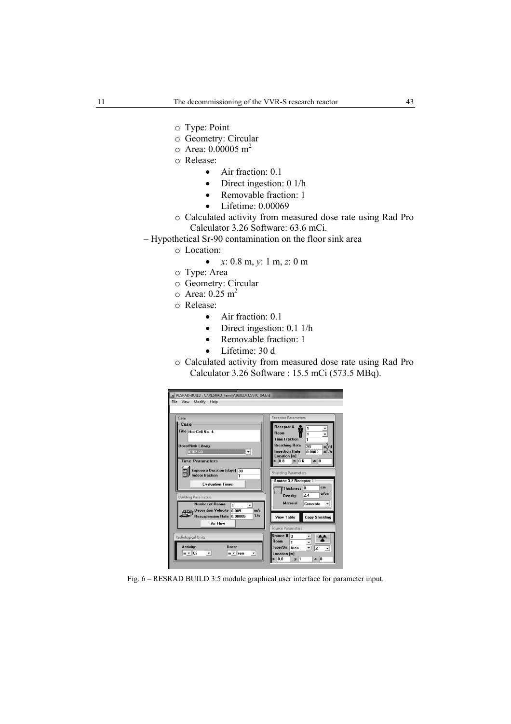- o Type: Point
- o Geometry: Circular
- $\circ$  Area: 0.00005 m<sup>2</sup>
- o Release:
	- Air fraction: 0.1
	- Direct ingestion: 0 1/h
	- Removable fraction: 1
	- Lifetime: 0.00069
- o Calculated activity from measured dose rate using Rad Pro Calculator 3.26 Software: 63.6 mCi.
- Hypothetical Sr-90 contamination on the floor sink area
	- o Location:
		- *x*: 0.8 m, *y*: 1 m, *z*: 0 m
	- o Type: Area
	- o Geometry: Circular
	- $\circ$  Area: 0.25 m<sup>2</sup>
	- o Release:
		- Air fraction: 0.1
		- Direct ingestion: 0.1 1/h
		- Removable fraction: 1
		- Lifetime: 30 d
	- o Calculated activity from measured dose rate using Rad Pro Calculator 3.26 Software : 15.5 mCi (573.5 MBq).



Fig. 6 – RESRAD BUILD 3.5 module graphical user interface for parameter input.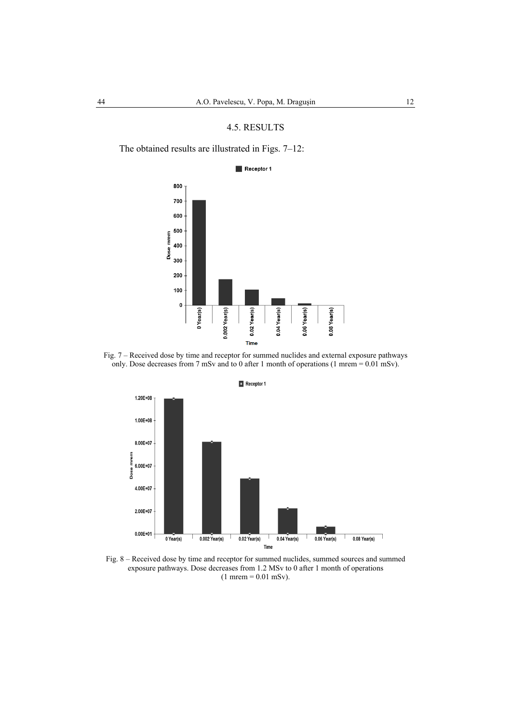### 4.5. RESULTS

The obtained results are illustrated in Figs. 7–12:

#### Receptor 1







Fig. 8 – Received dose by time and receptor for summed nuclides, summed sources and summed exposure pathways. Dose decreases from 1.2 MSv to 0 after 1 month of operations  $(1$  mrem = 0.01 mSv).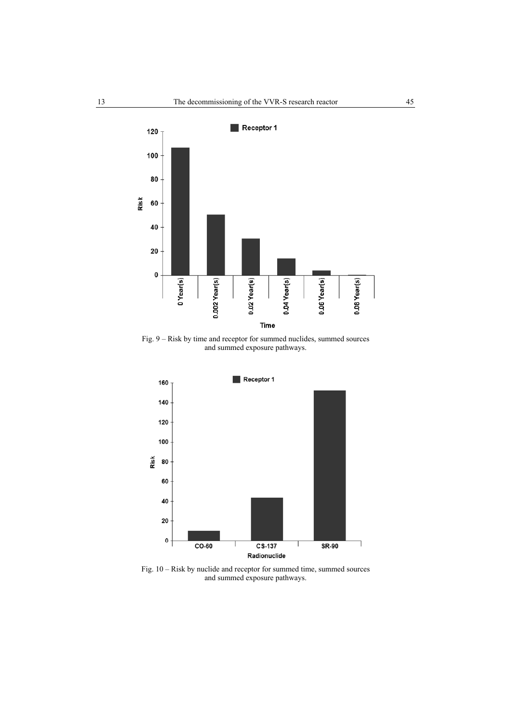

Fig. 9 – Risk by time and receptor for summed nuclides, summed sources and summed exposure pathways.



Fig. 10 – Risk by nuclide and receptor for summed time, summed sources and summed exposure pathways.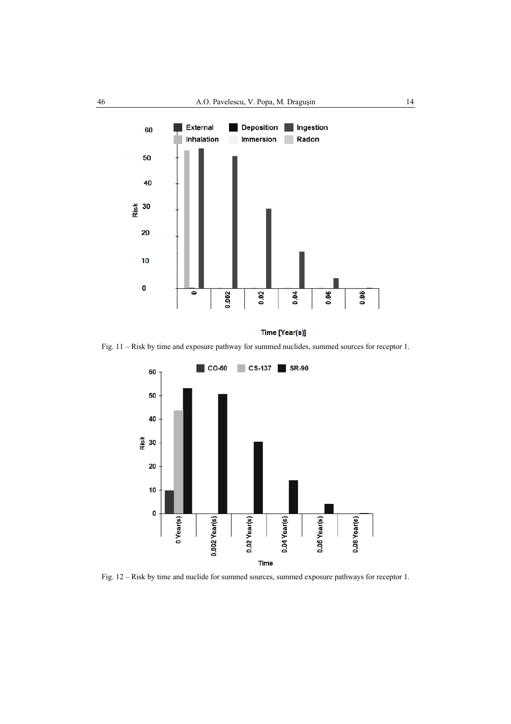

Time [Year(s)]

Fig. 11 – Risk by time and exposure pathway for summed nuclides, summed sources for receptor 1.



Fig. 12 – Risk by time and nuclide for summed sources, summed exposure pathways for receptor 1.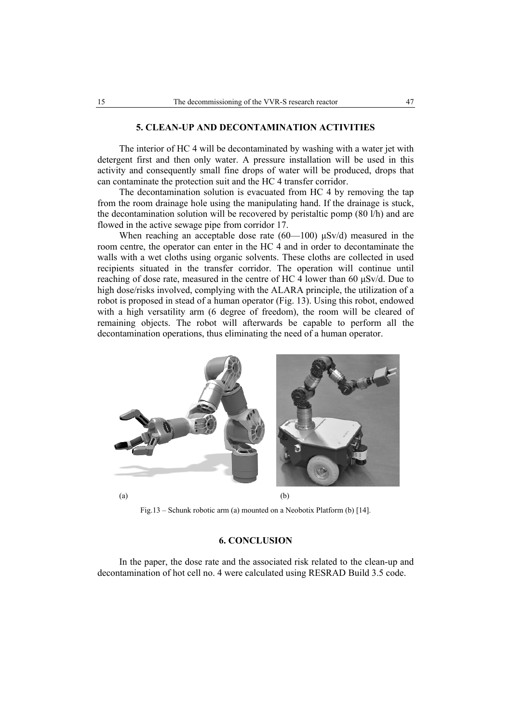#### **5. CLEAN-UP AND DECONTAMINATION ACTIVITIES**

The interior of HC 4 will be decontaminated by washing with a water jet with detergent first and then only water. A pressure installation will be used in this activity and consequently small fine drops of water will be produced, drops that can contaminate the protection suit and the HC 4 transfer corridor.

The decontamination solution is evacuated from HC 4 by removing the tap from the room drainage hole using the manipulating hand. If the drainage is stuck, the decontamination solution will be recovered by peristaltic pomp (80 l/h) and are flowed in the active sewage pipe from corridor 17.

When reaching an acceptable dose rate  $(60-100)$   $\mu$ Sv/d) measured in the room centre, the operator can enter in the HC 4 and in order to decontaminate the walls with a wet cloths using organic solvents. These cloths are collected in used recipients situated in the transfer corridor. The operation will continue until reaching of dose rate, measured in the centre of HC 4 lower than 60 µSv/d. Due to high dose/risks involved, complying with the ALARA principle, the utilization of a robot is proposed in stead of a human operator (Fig. 13). Using this robot, endowed with a high versatility arm (6 degree of freedom), the room will be cleared of remaining objects. The robot will afterwards be capable to perform all the decontamination operations, thus eliminating the need of a human operator.



Fig.13 – Schunk robotic arm (a) mounted on a Neobotix Platform (b) [14].

### **6. CONCLUSION**

In the paper, the dose rate and the associated risk related to the clean-up and decontamination of hot cell no. 4 were calculated using RESRAD Build 3.5 code.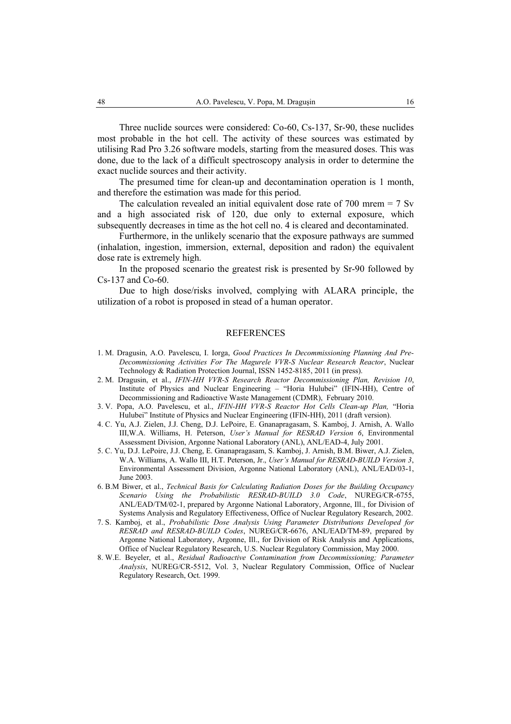Three nuclide sources were considered: Co-60, Cs-137, Sr-90, these nuclides most probable in the hot cell. The activity of these sources was estimated by utilising Rad Pro 3.26 software models, starting from the measured doses. This was done, due to the lack of a difficult spectroscopy analysis in order to determine the exact nuclide sources and their activity.

The presumed time for clean-up and decontamination operation is 1 month, and therefore the estimation was made for this period.

The calculation revealed an initial equivalent dose rate of 700 mrem = 7 Sv and a high associated risk of 120, due only to external exposure, which subsequently decreases in time as the hot cell no. 4 is cleared and decontaminated.

Furthermore, in the unlikely scenario that the exposure pathways are summed (inhalation, ingestion, immersion, external, deposition and radon) the equivalent dose rate is extremely high.

In the proposed scenario the greatest risk is presented by Sr-90 followed by Cs-137 and Co-60.

Due to high dose/risks involved, complying with ALARA principle, the utilization of a robot is proposed in stead of a human operator.

### **REFERENCES**

- 1. M. Dragusin, A.O. Pavelescu, I. Iorga, *Good Practices In Decommissioning Planning And Pre-Decommissioning Activities For The Magurele VVR-S Nuclear Research Reactor*, Nuclear Technology & Radiation Protection Journal, ISSN 1452-8185, 2011 (in press).
- 2. M. Dragusin, et al., *IFIN-HH VVR-S Research Reactor Decommissioning Plan, Revision 10*, Institute of Physics and Nuclear Engineering – "Horia Hulubei" (IFIN-HH), Centre of Decommissioning and Radioactive Waste Management (CDMR), February 2010.
- 3. V. Popa, A.O. Pavelescu, et al., *IFIN-HH VVR-S Reactor Hot Cells Clean-up Plan,* "Horia Hulubei" Institute of Physics and Nuclear Engineering (IFIN-HH), 2011 (draft version).
- 4. C. Yu, A.J. Zielen, J.J. Cheng, D.J. LePoire, E. Gnanapragasam, S. Kamboj, J. Arnish, A. Wallo III,W.A. Williams, H. Peterson, *User's Manual for RESRAD Version 6*, Environmental Assessment Division, Argonne National Laboratory (ANL), ANL/EAD-4, July 2001.
- 5. C. Yu, D.J. LePoire, J.J. Cheng, E. Gnanapragasam, S. Kamboj, J. Arnish, B.M. Biwer, A.J. Zielen, W.A. Williams, A. Wallo III, H.T. Peterson, Jr., *User's Manual for RESRAD-BUILD Version 3*, Environmental Assessment Division, Argonne National Laboratory (ANL), ANL/EAD/03-1, June 2003.
- 6. B.M Biwer, et al., *Technical Basis for Calculating Radiation Doses for the Building Occupancy Scenario Using the Probabilistic RESRAD-BUILD 3.0 Code*, NUREG/CR-6755, ANL/EAD/TM/02-1, prepared by Argonne National Laboratory, Argonne, Ill., for Division of Systems Analysis and Regulatory Effectiveness, Office of Nuclear Regulatory Research, 2002.
- 7. S. Kamboj, et al., *Probabilistic Dose Analysis Using Parameter Distributions Developed for RESRAD and RESRAD-BUILD Codes*, NUREG/CR-6676, ANL/EAD/TM-89, prepared by Argonne National Laboratory, Argonne, Ill., for Division of Risk Analysis and Applications, Office of Nuclear Regulatory Research, U.S. Nuclear Regulatory Commission, May 2000.
- 8. W.E. Beyeler, et al., *Residual Radioactive Contamination from Decommissioning; Parameter Analysis*, NUREG/CR-5512, Vol. 3, Nuclear Regulatory Commission, Office of Nuclear Regulatory Research, Oct. 1999.